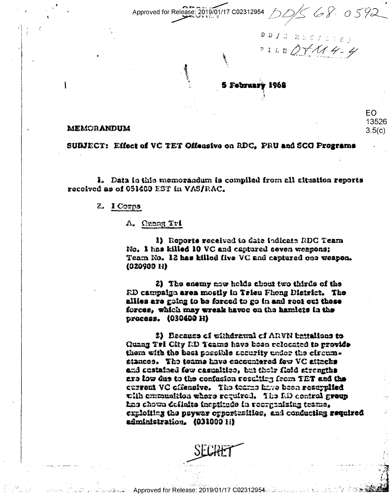002312954 DDS 68.0592 Approved for Release: 2019/01/17

DD / S R & C & S T & V PILEDTX14-4

EO. 13526

 $3.5(c)$ 

5 February 1968

#### MEMORANDUM

SUBJECT: Effect of VC TET Offensive on RDC, PRU and SCG Programs

1. Data in this memorandum is compiled from all aituation reports received as of 051400 EST in VAS/RAC.

#### 2. 1 Сотра

A. Quang Tri

1) Reports received to date indicate RDC Team No. I has killed 10 VC and captured seven weapons; Team No. 12 has killed five VC and captured one weapon.  $(020900 H)$ 

2) The enemy now holds about two thirds of the RD campaign area mostly in Trieu Phong District. The allies are going to be forced to go in and root out these forces, which may wreak haves on the hamlets in the process. (030400 H)

2) Deceuse of withdrawal of ARVN battallons to Quang Tri City RD Teams have been relocated to provide them with the best possible accurity under the circumstances. The teams have encountered few VC attacks and custained few casualtico, but their field strengths are low due to the confusion resulting from TET and the current VC cifensive. The tearns have been resupplied with emmunition where required. The RD centrol group has chown definite inentitude in recordenizing teams. exuloiting the neywar ornertunities, and conducting required administration. (031000 H)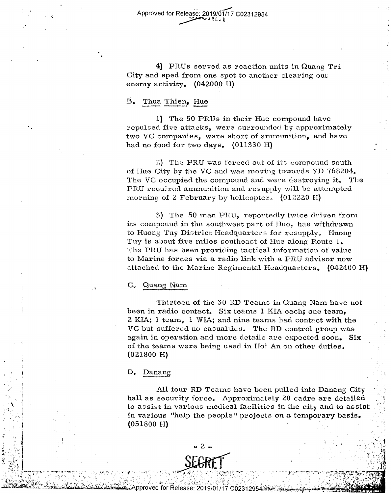Approved for Release: 2019/01/17 C02312954  $W_{\text{max}}$  and  $W_{\text{max}}$ 

4) PRUs served as reaction units in Quang Tri 4) PRUs served as reaction units in Quang Tri City and sped from one spot to another clearing out City and sped from one spot to another clearing out enemy activity. (042000 H)

# B. Thua Thien, Hue

1) The 50 PRUs in their Hue compound have 1) The 50 PRUs in their Hue compound have  $repulse$  five attacks, were surrounded by approximately two VC companies, were short of ammunition, and have had no food for two days,  $(011330$  H $)$ 

?.) Tho PRU was forced out of its compound south 2) The PRU was forced out of its compound south of Hue City by the VC and was moving towards YD 768204. The VC occupied the compound and were destroying it. The  $\operatorname{PRU}$  required ammunition and resupply will be attempted morning of 2 February by helicopter.  $(012220 \text{ H})$ 

3) The 50 man PRU, reportedly twice driven from its compound in the southwest part of Hue, has withdrawn to Huong Tuy District Headquarters for resupply. Huong Tuy is about five miles southeast of Hue along Route 1. The PRU has been providing tactical information of value The PRU has been. providing tactical information of value to Maririe forces via a radio link with a PRU advisor now to Marine forces via a radio link with a PRU adviser now attached to the Marine Regimental Headquarters. (042400 H)

# C<sub>o</sub> Quang Nam

Thirteen of the 30 RD Teams in Quang Nam have not Thirteen of the 30 RD Teams in Quang Nam have not been in radio contact. Six teams 1 KIA each; one team, 2 KIA; 1 team, 1 WIA; and nine teams had contact with the VC but suffered no casualties. The RD control group was again in operation and more details are expected soon. **Six**  again in operation and more details are expected soon. Six of the teams were being used in Hoi An on other duties. (021800 H) (021800 H)

# D. Danang D. Danang

\_ . . . u-\_. .. -. . - -I---

.- <sup>l</sup> I

.

.-

 $i$  in the set of  $\mathcal{C}$  $\sim$  if  $\sim$ .4 In

 $E_{\rm eff} = 1.4$ 

. . U 1" l .5:

 A. -. «'w' .\_'.\*, .1  $\sim$ <sup>m</sup>"- <sup>n</sup> b." I) \_I'u '-

, it is a set of the contract of the contract of the contract of the contract of the contract of the contract of the contract of the contract of the contract of the contract of the contract of the contract of the contract  $A$  . It is a set of the set of the set of the set of the set of the set of the set of the set of the set of the set of the set of the set of the set of the set of the set of the set of the set of the set of the set of th . " ' <sup>r</sup> -.-- :.§ ,.J'-| . .\_-' ( 'J' . ---.-.. . an t ." 1.". '.-r. 'e .

All four RD Teams have been pulled into Danang City hall as security force. Approximately 20 cadre are detailed to assist in various medical facilities in the city and to assist in various "help the people" projects on a temporary basis.  $(051800 H)$ 

> 'I . f -|I . '1' Id \_ .2

. "r " r! ' ' <sup>I</sup>

\_ I} -.. VI



,

i . '

.'.. 'l '-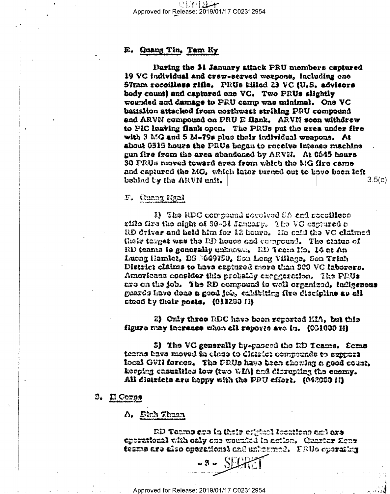## E. Quang Tin, Tam Ky

During the 31 January attack PRU members captured 19 VC individual and crew-served weapons, including one 57mm recoilless rifle. PRUs killed 23 VC (U.S. advisors body count) and captured one VC. Two PRUs slightly wounded and damage to PRU camp was minimal. One VC battalion attacked from northwest striking PRU compound and ARVN compound on PRU E flank. ARVN soon withdrew to PIC leaving flank open. The PRUs put the area under fire with 3 MG and 5 M-79s plus their individual weapons. At about 0515 hours the PRUs began to receive intense machine gun fire from the area abandoned by ARVN. At 0545 hours 30 FRUs moved toward area from which the MG fire came and captured the MG, which later turned out to have been left behind by the ARVN unit.  $3.5(c)$ 

F. Quang Ngal

8) The RDC compound received SA and receillene rifle fire the night of 30-31 January. The VC captured a RD driver and held him for 12 hours. Ho said the VC claimed their target was the RD house and compound. The status of RD teams is generally unknown. AD Team No. 14 at An Lucag Hamlet, DS 3649750, Son Long Village, Son Trinh District cláims to have captured more than 300 VC laborers. Americans consider this probably exeggeration. The PRUs are on the job. The RD compound to well organized, indigenous guards have done a good job, crhibiting fixe discipline as all ctood by their posts. (011200 II)

2) Only three RDC have been reported KIA, but this figure may increase when all reports are in. (031600 H)

5) The VC generally by-passed the RD Teams. Sems teams have moved in close to district compounds to support local GVH forces. The FRUs have been showing a good count, keeping casualties low (two WIA) and disrupting the enemy. All districts are happy with the PRU cffort. (042080 H)

S. Il Corps

## A. Binh Thuan

**RD Teams are in their cripical locations and are** operational with only one wounded in action. Quaster Zenetezme are also operational and unbermed. FRUs operating

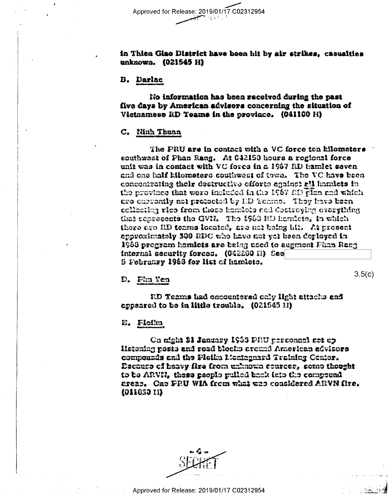Approved for Release: 2019/01/17 C02312954

## in Thien Giao District have been hit by air strikes, casualties unknown. (021545 H)

## **B.** Darlac

No information has been received during the past five days by American advisers concerning the situation of Victnamese RD Teams in the proviace. (041100 H)

## C. Ninh Thuan

The PRU are in contact with a VC force ten kilometers southwest of Phan Rang. At 042150 hours a regional force unit was in contact with VC force in a 1967 RD hamlet goven and one half kilometers southwest of town. The VC have been concentrating their destructive efforts analnet all hamlets in the province that were included in the 1967 AD plan and which are currently not prefected by ED Tourns. They have been collecting rice from these hamlots and destroying overgthing that represents the GVN. The 1963 RD hamicts, in which there are RD teams located, are not being hit. At present approximately 300 RDC who have not yet been deployed in 1968 program hamlets are being used to augment Phan Rang internal security forces. (042200 II) See 5 February 1968 for list of hamlets.

# D. Phu Yen

 $3.5(c)$ 

RD Teams had oncountered only light attacks and appeared to be in little trouble. (021545 H)

### E. Floiku

On night 31 January 1953 PRU personnel set up Heteniag posts and road blocks around American advisors compounds and the Pleiku Montegnard Training Center. Decause of heavy fire from unknown cources, some thought to be ARVII, these people pulled back into the compound areas. One FRU WIA from what was considered ARVN fixe. (011653 EI)

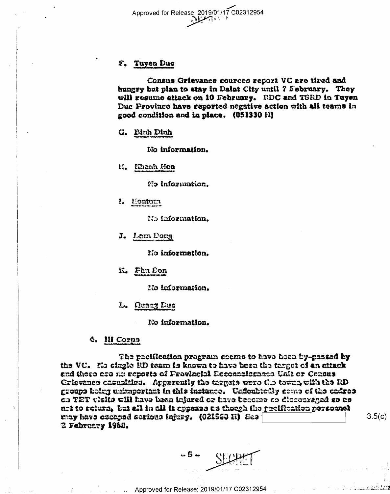

## F. Tuyen Duc

Census Grievance sources report VC are tired and hungry but plan to stay in Dalat City until 7 February. They will resume attack on 10 February. RDC and TSRD in Tuyen Duc Province have reported negative action with all teams in good condition and in place. (051330 H)

G. Binh Dinh

No information.

H. Khanh Hoa

No information.

I. Eontum

No information.

J. Lam Dong

No information.

K. Phu Don

No information.

#### L. Quang Duc

No information.

#### **4. III Corps**

The pacification program seems to have been by-passed by the VC. No single RD team is known to have been the target of en attack and there are no reports of Provincial Reconnaissance Unit or Census Griovanes casualtics. Apparently the targets were the towns with the RD groups heirg unimportunt in this instance. Undoubtedly seme of the cadres on TET visits will have been injured or have become so diocouraged so as net to return, but all in all it appears as though the pecification personnel may have escaped serious injury. (021560 H) See 2 February 1968.

 $-5 - 11$ 

 $3.5(c)$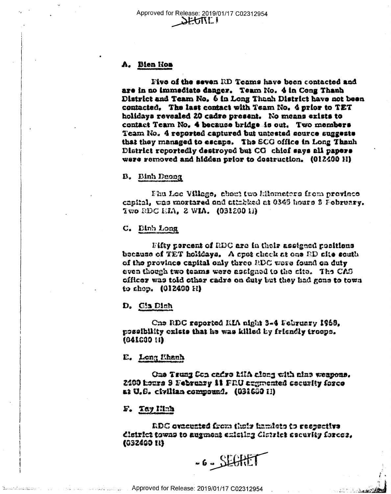## A. Bien Hon

Five of the seven RD Teams have been contacted and are in no immediate danger. Team No. 4 in Cong Thanh District and Team No. 6 in Long Thanh District have not been contacted. The last contact with Team No. 4 prior to TET holidays revealed 20 cadre present. No means exists to contact Team No. 4 because bridge is out. Two members Team No. 4 reported captured but untested source suggests that they managed to escape. The SCG office in Long Thanh District reportedly destroyed but CG chief says all papers were removed and hidden prior to destruction. (012400 H)

B. Binh Deong

Phu Loc Village, about two hilomaters from province capital, was mortared and attabked at 0345 hours 3 February. Two RDC EIA, 2 WIA. (031200 11)

C. Dinh Long

Fifty percent of RDC are in their assigned positions. because of TET holidays. A cpot check at one RD afte south of the province capital only three RDC were found on duty even though two teams were assigned to the cite. The CAS officer was told other cadre on duty but they had gone to town to shop. (012400 H)

D. Gia Dinh

One RDC reported KIA night 3-4 February 1968. possibility exists that he was killed by friendly troops.  $(041000 \; H)$ 

E. Long Khanh

One Trung Son cadre MIA along with ains weapons. 2400 hours 3 February 11 FRU exgmented cocurity force at U.S. civilian compound. (031660 H)

F. Tay Ninh

RDC ovacuated from their hamiets to respective district towns to augmont existing district security forces, (032400 H)

-6-SECHET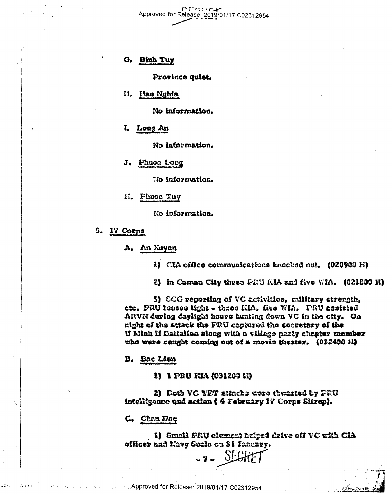$\alpha$ r marz Approved for Release: 2019/01/17 C02312954

## G. Binh Tuy

Province uniet.

H. Hau Nghia

No information.

I. Long An

No information.

J. Phuoe Long

No information.

K. Phuoe Tuy

No information.

5. IV Corps

A. An Xuyon

1) CIA office communications knocked out. (020900 H)

2) In Caman City three PRU KIA and five WIA. (021830 H)

3) SCG reporting of VC activities, military strength, etc. PRU losses light - three KIA, five WIA. PRU assisted ARVN during daylight hours hunting down VC in the city. On night of the attack the FRU captured the secretary of the U Minh II Battalion slong with a village party chapter member who were caught coming out of a movie theater. (032400 H)

**B.** Bac Lieu

1) 1 PRU KIA (031200 K)

2) Doth VC TET attacks were thwarted by PRU intelligence und action (4 February IV Corps Sitrep).

C. Chan Doe

1) Small FRU element helped drive off VC with CIA officer and Navy Seals on 31 January.

.7. SEGR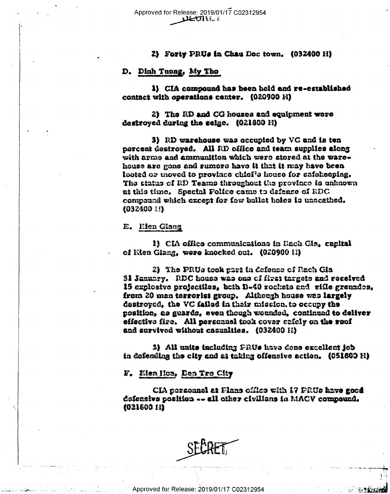#### 2) Forty PRUs in Chau Doc town. (032400 H)

## D. Dinh Tuong, My Tho

i) CIA compound has been held and re-established contact with operations center. (020900 H)

2) The RD and CG houses and equipment were destroyed during the seige. (021800 H)

3) RD warehouse was occupied by VC and is ten percent destroyed. All RD office and team supplies along with arms and ammunition which were stored at the warehouse are gone and rumore have it that it may have been looted or moved to province chief's house for safekeeping. The status of RD Teams throughout the province is unknown at this time. Spectal Police came to defense of RDC compound which except for few builet holes is unscathed. (032400 14)

## E. Kien Giang

1) CIA office communications in Rach Gia, capital of Kien Giang, were knocked out. (020900 H)

2) The PRUs took part in defense of Rach Gia 31 January. RDC house was one of first targets and recaived 15 explosive projectiles, both B-40 rochets and rifle grenades, from 20 man terrorist group. Although house was largely destroyed, the VC failed in their mission, to occupy the position, as guards, even though wounded, continued to deliver effective fire. All personnel took cover safely on the roof and survived without casualties. (032400 H)

3) All units including PRUs have done excellent job in defending the city and as taking effensive action. (051800 H)

## F. Kien Hoa, Den Tro City

CIA personnel at Flans office with 17 PRUs have good defensive position -- all other civilians in MACV compound. (021600 H)

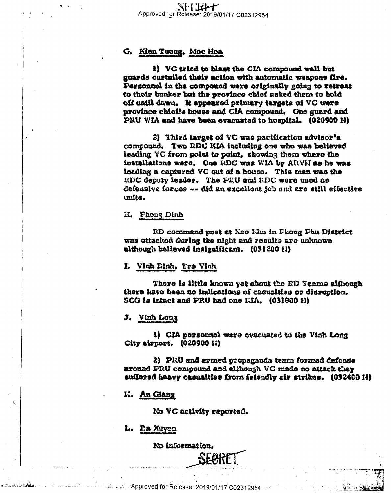# G. Kien Tuong. Moc Hoa.

1) VC tried to blast the CIA compound wall but guards curtailed their action with automatic weapons fire. Personnel in the compound were originally going to retreat to their bunker but the province chief asked them to hold off until dawn. It appeared primary targets of VC were province chief's house and CIA compound. One guard and PRU WIA and have been evacuated to hospital. (020900 H)

2) Third target of VC was nacification advisor's compound. Two RDC KIA including one who was believed leading VC from point to point. showing them where the installations were. One RDC was WIA by ARVN as he was leading a captured VC out of a house. This man was the RDC deputy leader. The PRU and RDC were used as defensive forces -- did an excellent job and are still effective units.

H. Phong Dinh

RD command post at Xeo Kho in Phong Phu District was attacked during the night and results are unknown although believed insignificant. (031200 H)

I. Vinh Einh, Tra Vinh.

There is little known yet about the RD Teams although there have been no indications of casualties or disruption. SCG is intact and PRU had one KIA. (031800 H)

J. Vinh Long

1) CIA personnel were evacuated to the Vinh Long City airport. (020900 H)

2) PRU and armed propaganda team formed defense around PRU compound and although VC made no attack they suffered heavy casualties from iriendly air strikes. (032400 H)

K. An Glang

No VC activity reported.

L. Pa Xuyen

No information.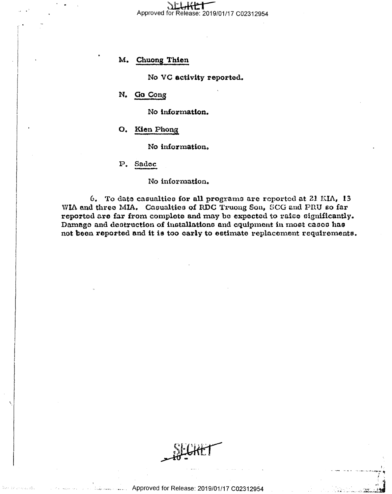Approved for Release: 2019/01/17 C02312954

#### M. Chuong Thien

No VC activity reported.

N. Go Cong

No information.

### O. Kien Phong

No information.

P. Sadec

No information.

6. To date casualties for all programs are reported at 21 KIA, 13 WIA and three MIA. Casualties of RDC Truong Son, SCG and PRU so far reported are far from complete and may be expected to raise significantly. Damage and destruction of installations and equipment in most cases has not been reported and it is too carly to estimate replacement requirements.